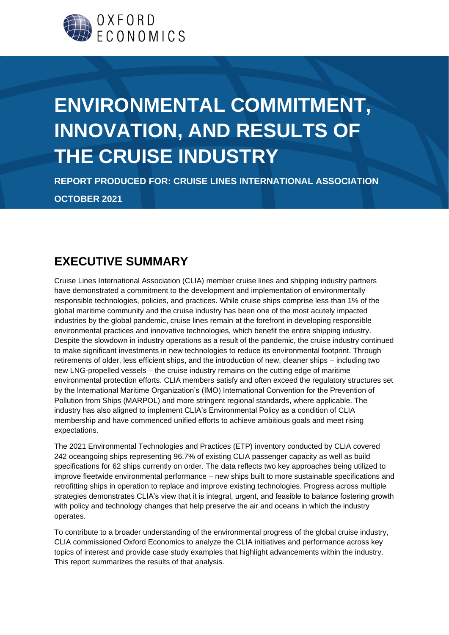

# **ENVIRONMENTAL COMMITMENT, INNOVATION, AND RESULTS OF THE CRUISE INDUSTRY**

**REPORT PRODUCED FOR: CRUISE LINES INTERNATIONAL ASSOCIATION OCTOBER 2021**

### **EXECUTIVE SUMMARY**

Cruise Lines International Association (CLIA) member cruise lines and shipping industry partners have demonstrated a commitment to the development and implementation of environmentally responsible technologies, policies, and practices. While cruise ships comprise less than 1% of the global maritime community and the cruise industry has been one of the most acutely impacted industries by the global pandemic, cruise lines remain at the forefront in developing responsible environmental practices and innovative technologies, which benefit the entire shipping industry. Despite the slowdown in industry operations as a result of the pandemic, the cruise industry continued to make significant investments in new technologies to reduce its environmental footprint. Through retirements of older, less efficient ships, and the introduction of new, cleaner ships – including two new LNG-propelled vessels – the cruise industry remains on the cutting edge of maritime environmental protection efforts. CLIA members satisfy and often exceed the regulatory structures set by the International Maritime Organization's (IMO) International Convention for the Prevention of Pollution from Ships (MARPOL) and more stringent regional standards, where applicable. The industry has also aligned to implement CLIA's Environmental Policy as a condition of CLIA membership and have commenced unified efforts to achieve ambitious goals and meet rising expectations.

The 2021 Environmental Technologies and Practices (ETP) inventory conducted by CLIA covered 242 oceangoing ships representing 96.7% of existing CLIA passenger capacity as well as build specifications for 62 ships currently on order. The data reflects two key approaches being utilized to improve fleetwide environmental performance – new ships built to more sustainable specifications and retrofitting ships in operation to replace and improve existing technologies. Progress across multiple strategies demonstrates CLIA's view that it is integral, urgent, and feasible to balance fostering growth with policy and technology changes that help preserve the air and oceans in which the industry operates.

To contribute to a broader understanding of the environmental progress of the global cruise industry, CLIA commissioned Oxford Economics to analyze the CLIA initiatives and performance across key topics of interest and provide case study examples that highlight advancements within the industry. This report summarizes the results of that analysis.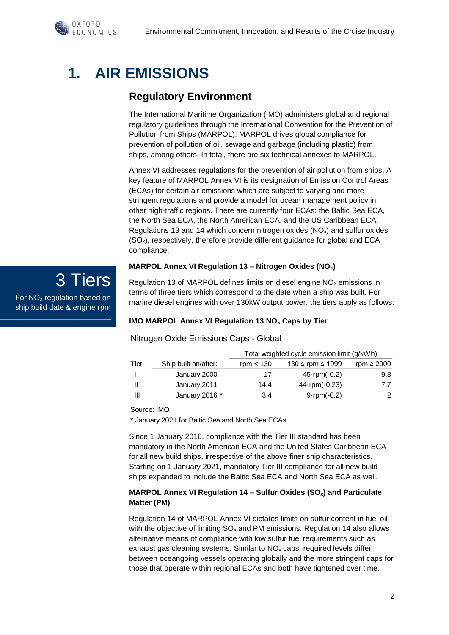# **1. AIR EMISSIONS**

OXFORD  $FCONOMICS$ 

### **Regulatory Environment**

The International Maritime Organization (IMO) administers global and regional regulatory guidelines through the International Convention for the Prevention of Pollution from Ships (MARPOL). MARPOL drives global compliance for prevention of pollution of oil, sewage and garbage (including plastic) from ships, among others. In total, there are six technical annexes to MARPOL.

Annex VI addresses regulations for the prevention of air pollution from ships. A key feature of MARPOL Annex VI is its designation of Emission Control Areas (ECAs) for certain air emissions which are subject to varying and more stringent regulations and provide a model for ocean management policy in other high-traffic regions. There are currently four ECAs: the Baltic Sea ECA, the North Sea ECA, the North American ECA, and the US Caribbean ECA. Regulations 13 and 14 which concern nitrogen oxides  $(NO<sub>x</sub>)$  and sulfur oxides (SOx), respectively, therefore provide different guidance for global and ECA compliance.

#### **MARPOL Annex VI Regulation 13 – Nitrogen Oxides (NOx)**

3 Tiers For NO<sup>x</sup> regulation based on ship build date & engine rpm

Regulation 13 of MARPOL defines limits on diesel engine NO<sup>x</sup> emissions in terms of three tiers which correspond to the date when a ship was built. For marine diesel engines with over 130kW output power, the tiers apply as follows:

#### **IMO MARPOL Annex VI Regulation 13 NO<sup>x</sup> Caps by Tier**

#### Nitrogen Oxide Emissions Caps - Global Tier Ship built on/after: rpm < 130  $\le$  130  $\le$  rpm  $\le$  1999 rpm  $\ge$  2000 I January 2000 17 45·rpm(-0.2) 9.8 II January 2011 14.4 44·rpm(-0.23) 7.7 III January 2016 \* 3.4 9·rpm(-0.2) 2 Total weighted cycle emission limit (g/kWh)

### Source: IMO

\* January 2021 for Baltic Sea and North Sea ECAs

Since 1 January 2016, compliance with the Tier III standard has been mandatory in the North American ECA and the United States Caribbean ECA for all new build ships, irrespective of the above finer ship characteristics. Starting on 1 January 2021, mandatory Tier III compliance for all new build ships expanded to include the Baltic Sea ECA and North Sea ECA as well.

#### **MARPOL Annex VI Regulation 14 – Sulfur Oxides (SOx) and Particulate Matter (PM)**

Regulation 14 of MARPOL Annex VI dictates limits on sulfur content in fuel oil with the objective of limiting  $SO_x$  and PM emissions. Regulation 14 also allows alternative means of compliance with low sulfur fuel requirements such as exhaust gas cleaning systems. Similar to  $NO<sub>x</sub>$  caps, required levels differ between oceangoing vessels operating globally and the more stringent caps for those that operate within regional ECAs and both have tightened over time.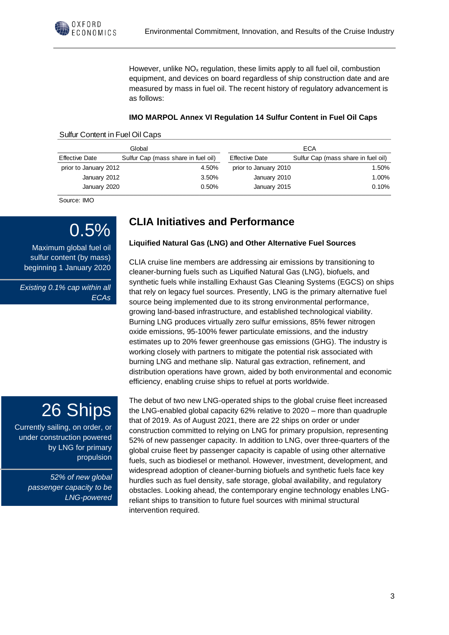

However, unlike  $NO<sub>x</sub>$  regulation, these limits apply to all fuel oil, combustion equipment, and devices on board regardless of ship construction date and are measured by mass in fuel oil. The recent history of regulatory advancement is as follows:

#### **IMO MARPOL Annex VI Regulation 14 Sulfur Content in Fuel Oil Caps**

#### Sulfur Content in Fuel Oil Caps

| Global                |                                     | ECA                   |                                     |
|-----------------------|-------------------------------------|-----------------------|-------------------------------------|
| <b>Effective Date</b> | Sulfur Cap (mass share in fuel oil) | <b>Effective Date</b> | Sulfur Cap (mass share in fuel oil) |
| prior to January 2012 | 4.50%                               | prior to January 2010 | 1.50%                               |
| January 2012          | 3.50%                               | January 2010          | 1.00%                               |
| January 2020          | 0.50%                               | January 2015          | 0.10%                               |

Source: IMO

## 0.5%

Maximum global fuel oil sulfur content (by mass) beginning 1 January 2020

*Existing 0.1% cap within all ECAs*

### **CLIA Initiatives and Performance**

#### **Liquified Natural Gas (LNG) and Other Alternative Fuel Sources**

CLIA cruise line members are addressing air emissions by transitioning to cleaner-burning fuels such as Liquified Natural Gas (LNG), biofuels, and synthetic fuels while installing Exhaust Gas Cleaning Systems (EGCS) on ships that rely on legacy fuel sources. Presently, LNG is the primary alternative fuel source being implemented due to its strong environmental performance, growing land-based infrastructure, and established technological viability. Burning LNG produces virtually zero sulfur emissions, 85% fewer nitrogen oxide emissions, 95-100% fewer particulate emissions, and the industry estimates up to 20% fewer greenhouse gas emissions (GHG). The industry is working closely with partners to mitigate the potential risk associated with burning LNG and methane slip. Natural gas extraction, refinement, and distribution operations have grown, aided by both environmental and economic efficiency, enabling cruise ships to refuel at ports worldwide.

The debut of two new LNG-operated ships to the global cruise fleet increased the LNG-enabled global capacity 62% relative to 2020 – more than quadruple that of 2019. As of August 2021, there are 22 ships on order or under construction committed to relying on LNG for primary propulsion, representing 52% of new passenger capacity. In addition to LNG, over three-quarters of the global cruise fleet by passenger capacity is capable of using other alternative fuels, such as biodiesel or methanol. However, investment, development, and widespread adoption of cleaner-burning biofuels and synthetic fuels face key hurdles such as fuel density, safe storage, global availability, and regulatory obstacles. Looking ahead, the contemporary engine technology enables LNGreliant ships to transition to future fuel sources with minimal structural intervention required.

## 26 Ships

Currently sailing, on order, or under construction powered by LNG for primary propulsion

> *52% of new global passenger capacity to be LNG-powered*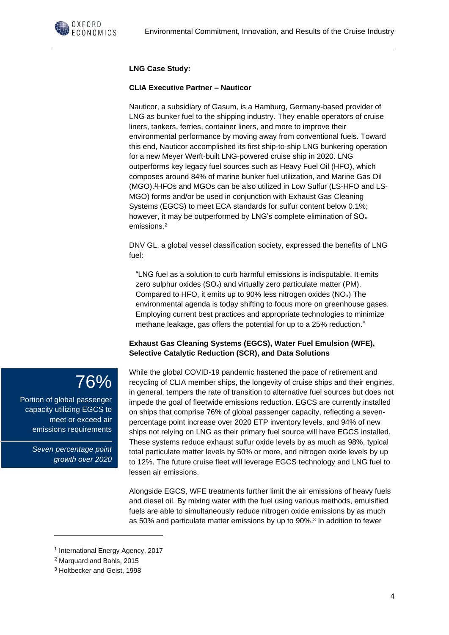

#### **LNG Case Study:**

#### **CLIA Executive Partner – Nauticor**

Nauticor, a subsidiary of Gasum, is a Hamburg, Germany-based provider of LNG as bunker fuel to the shipping industry. They enable operators of cruise liners, tankers, ferries, container liners, and more to improve their environmental performance by moving away from conventional fuels. Toward this end, Nauticor accomplished its first ship-to-ship LNG bunkering operation for a new Meyer Werft-built LNG-powered cruise ship in 2020. LNG outperforms key legacy fuel sources such as Heavy Fuel Oil (HFO), which composes around 84% of marine bunker fuel utilization, and Marine Gas Oil (MGO). <sup>1</sup>HFOs and MGOs can be also utilized in Low Sulfur (LS-HFO and LS-MGO) forms and/or be used in conjunction with Exhaust Gas Cleaning Systems (EGCS) to meet ECA standards for sulfur content below 0.1%; however, it may be outperformed by LNG's complete elimination of SO<sub>x</sub> emissions. 2

DNV GL, a global vessel classification society, expressed the benefits of LNG fuel:

"LNG fuel as a solution to curb harmful emissions is indisputable. It emits zero sulphur oxides  $(SO_x)$  and virtually zero particulate matter (PM). Compared to HFO, it emits up to 90% less nitrogen oxides  $(NO<sub>x</sub>)$  The environmental agenda is today shifting to focus more on greenhouse gases. Employing current best practices and appropriate technologies to minimize methane leakage, gas offers the potential for up to a 25% reduction."

#### **Exhaust Gas Cleaning Systems (EGCS), Water Fuel Emulsion (WFE), Selective Catalytic Reduction (SCR), and Data Solutions**

While the global COVID-19 pandemic hastened the pace of retirement and recycling of CLIA member ships, the longevity of cruise ships and their engines, in general, tempers the rate of transition to alternative fuel sources but does not impede the goal of fleetwide emissions reduction. EGCS are currently installed on ships that comprise 76% of global passenger capacity, reflecting a sevenpercentage point increase over 2020 ETP inventory levels, and 94% of new ships not relying on LNG as their primary fuel source will have EGCS installed. These systems reduce exhaust sulfur oxide levels by as much as 98%, typical total particulate matter levels by 50% or more, and nitrogen oxide levels by up to 12%. The future cruise fleet will leverage EGCS technology and LNG fuel to lessen air emissions.

Alongside EGCS, WFE treatments further limit the air emissions of heavy fuels and diesel oil. By mixing water with the fuel using various methods, emulsified fuels are able to simultaneously reduce nitrogen oxide emissions by as much as 50% and particulate matter emissions by up to 90%. 3 In addition to fewer

76%

Portion of global passenger capacity utilizing EGCS to meet or exceed air emissions requirements

> *Seven percentage point growth over 2020*

<sup>1</sup> International Energy Agency, 2017

<sup>2</sup> Marquard and Bahls, 2015

<sup>3</sup> Holtbecker and Geist, 1998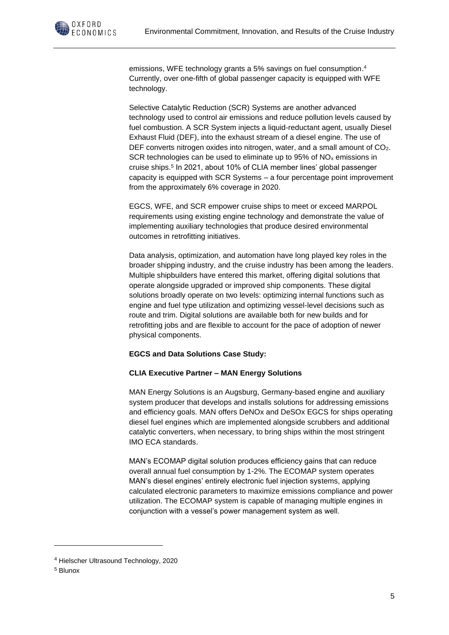

emissions, WFE technology grants a 5% savings on fuel consumption. 4 Currently, over one-fifth of global passenger capacity is equipped with WFE technology.

Selective Catalytic Reduction (SCR) Systems are another advanced technology used to control air emissions and reduce pollution levels caused by fuel combustion. A SCR System injects a liquid-reductant agent, usually Diesel Exhaust Fluid (DEF), into the exhaust stream of a diesel engine. The use of DEF converts nitrogen oxides into nitrogen, water, and a small amount of CO<sub>2</sub>. SCR technologies can be used to eliminate up to 95% of NO<sub>x</sub> emissions in cruise ships.<sup>5</sup> In 2021, about 10% of CLIA member lines' global passenger capacity is equipped with SCR Systems – a four percentage point improvement from the approximately 6% coverage in 2020.

EGCS, WFE, and SCR empower cruise ships to meet or exceed MARPOL requirements using existing engine technology and demonstrate the value of implementing auxiliary technologies that produce desired environmental outcomes in retrofitting initiatives.

Data analysis, optimization, and automation have long played key roles in the broader shipping industry, and the cruise industry has been among the leaders. Multiple shipbuilders have entered this market, offering digital solutions that operate alongside upgraded or improved ship components. These digital solutions broadly operate on two levels: optimizing internal functions such as engine and fuel type utilization and optimizing vessel-level decisions such as route and trim. Digital solutions are available both for new builds and for retrofitting jobs and are flexible to account for the pace of adoption of newer physical components.

#### **EGCS and Data Solutions Case Study:**

#### **CLIA Executive Partner – MAN Energy Solutions**

MAN Energy Solutions is an Augsburg, Germany-based engine and auxiliary system producer that develops and installs solutions for addressing emissions and efficiency goals. MAN offers DeNOx and DeSOx EGCS for ships operating diesel fuel engines which are implemented alongside scrubbers and additional catalytic converters, when necessary, to bring ships within the most stringent IMO ECA standards.

MAN's ECOMAP digital solution produces efficiency gains that can reduce overall annual fuel consumption by 1-2%. The ECOMAP system operates MAN's diesel engines' entirely electronic fuel injection systems, applying calculated electronic parameters to maximize emissions compliance and power utilization. The ECOMAP system is capable of managing multiple engines in conjunction with a vessel's power management system as well.

<sup>4</sup> Hielscher Ultrasound Technology, 2020

<sup>5</sup> Blunox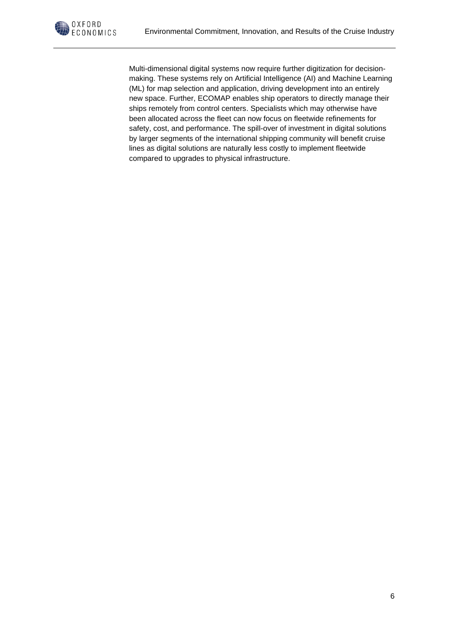Multi-dimensional digital systems now require further digitization for decisionmaking. These systems rely on Artificial Intelligence (AI) and Machine Learning (ML) for map selection and application, driving development into an entirely new space. Further, ECOMAP enables ship operators to directly manage their ships remotely from control centers. Specialists which may otherwise have been allocated across the fleet can now focus on fleetwide refinements for safety, cost, and performance. The spill-over of investment in digital solutions by larger segments of the international shipping community will benefit cruise lines as digital solutions are naturally less costly to implement fleetwide compared to upgrades to physical infrastructure.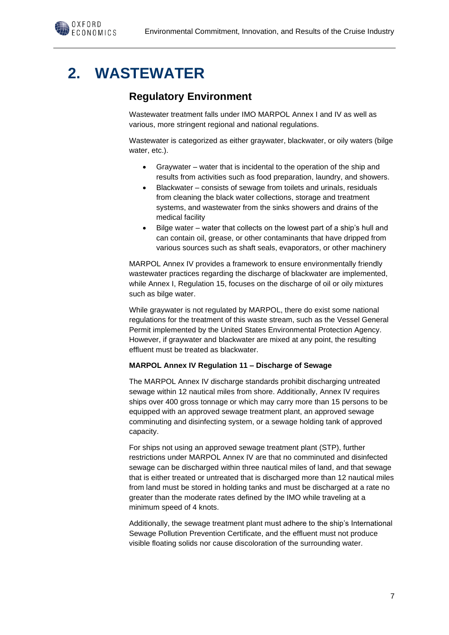### **2. WASTEWATER**

### **Regulatory Environment**

Wastewater treatment falls under IMO MARPOL Annex I and IV as well as various, more stringent regional and national regulations.

Wastewater is categorized as either graywater, blackwater, or oily waters (bilge water, etc.).

- Graywater water that is incidental to the operation of the ship and results from activities such as food preparation, laundry, and showers.
- Blackwater consists of sewage from toilets and urinals, residuals from cleaning the black water collections, storage and treatment systems, and wastewater from the sinks showers and drains of the medical facility
- Bilge water water that collects on the lowest part of a ship's hull and can contain oil, grease, or other contaminants that have dripped from various sources such as shaft seals, evaporators, or other machinery

MARPOL Annex IV provides a framework to ensure environmentally friendly wastewater practices regarding the discharge of blackwater are implemented, while Annex I, Regulation 15, focuses on the discharge of oil or oily mixtures such as bilge water.

While graywater is not regulated by MARPOL, there do exist some national regulations for the treatment of this waste stream, such as the Vessel General Permit implemented by the United States Environmental Protection Agency. However, if graywater and blackwater are mixed at any point, the resulting effluent must be treated as blackwater.

#### **MARPOL Annex IV Regulation 11 – Discharge of Sewage**

The MARPOL Annex IV discharge standards prohibit discharging untreated sewage within 12 nautical miles from shore. Additionally, Annex IV requires ships over 400 gross tonnage or which may carry more than 15 persons to be equipped with an approved sewage treatment plant, an approved sewage comminuting and disinfecting system, or a sewage holding tank of approved capacity.

For ships not using an approved sewage treatment plant (STP), further restrictions under MARPOL Annex IV are that no comminuted and disinfected sewage can be discharged within three nautical miles of land, and that sewage that is either treated or untreated that is discharged more than 12 nautical miles from land must be stored in holding tanks and must be discharged at a rate no greater than the moderate rates defined by the IMO while traveling at a minimum speed of 4 knots.

Additionally, the sewage treatment plant must adhere to the ship's International Sewage Pollution Prevention Certificate, and the effluent must not produce visible floating solids nor cause discoloration of the surrounding water.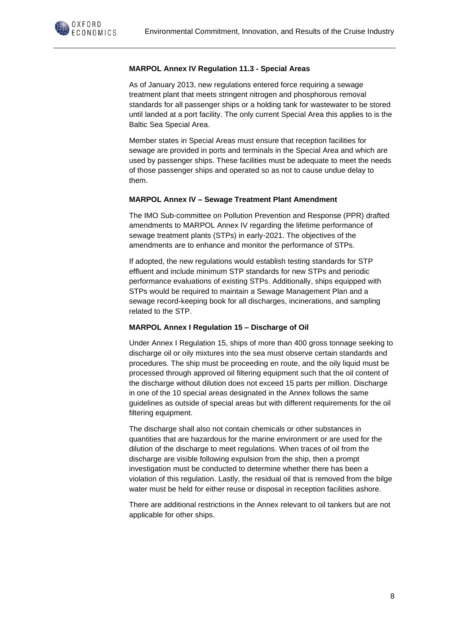#### **MARPOL Annex IV Regulation 11.3 - Special Areas**

As of January 2013, new regulations entered force requiring a sewage treatment plant that meets stringent nitrogen and phosphorous removal standards for all passenger ships or a holding tank for wastewater to be stored until landed at a port facility. The only current Special Area this applies to is the Baltic Sea Special Area.

Member states in Special Areas must ensure that reception facilities for sewage are provided in ports and terminals in the Special Area and which are used by passenger ships. These facilities must be adequate to meet the needs of those passenger ships and operated so as not to cause undue delay to them.

#### **MARPOL Annex IV – Sewage Treatment Plant Amendment**

The IMO Sub-committee on Pollution Prevention and Response (PPR) drafted amendments to MARPOL Annex IV regarding the lifetime performance of sewage treatment plants (STPs) in early-2021. The objectives of the amendments are to enhance and monitor the performance of STPs.

If adopted, the new regulations would establish testing standards for STP effluent and include minimum STP standards for new STPs and periodic performance evaluations of existing STPs. Additionally, ships equipped with STPs would be required to maintain a Sewage Management Plan and a sewage record-keeping book for all discharges, incinerations, and sampling related to the STP.

#### **MARPOL Annex I Regulation 15 – Discharge of Oil**

Under Annex I Regulation 15, ships of more than 400 gross tonnage seeking to discharge oil or oily mixtures into the sea must observe certain standards and procedures. The ship must be proceeding en route, and the oily liquid must be processed through approved oil filtering equipment such that the oil content of the discharge without dilution does not exceed 15 parts per million. Discharge in one of the 10 special areas designated in the Annex follows the same guidelines as outside of special areas but with different requirements for the oil filtering equipment.

The discharge shall also not contain chemicals or other substances in quantities that are hazardous for the marine environment or are used for the dilution of the discharge to meet regulations. When traces of oil from the discharge are visible following expulsion from the ship, then a prompt investigation must be conducted to determine whether there has been a violation of this regulation. Lastly, the residual oil that is removed from the bilge water must be held for either reuse or disposal in reception facilities ashore.

There are additional restrictions in the Annex relevant to oil tankers but are not applicable for other ships.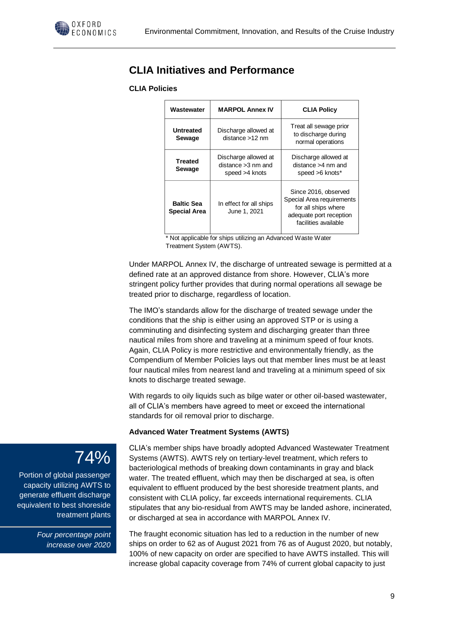

### **CLIA Initiatives and Performance**

#### **CLIA Policies**

| Wastewater                               | <b>MARPOL Annex IV</b>                                          | <b>CLIA Policy</b>                                                                                                          |
|------------------------------------------|-----------------------------------------------------------------|-----------------------------------------------------------------------------------------------------------------------------|
| <b>Untreated</b><br>Sewage               | Discharge allowed at<br>distance >12 nm                         | Treat all sewage prior<br>to discharge during<br>normal operations                                                          |
| <b>Treated</b><br>Sewage                 | Discharge allowed at<br>$distance > 3$ nm and<br>speed >4 knots | Discharge allowed at<br>distance >4 nm and<br>speed >6 knots*                                                               |
| <b>Baltic Sea</b><br><b>Special Area</b> | In effect for all ships<br>June 1, 2021                         | Since 2016, observed<br>Special Area requirements<br>for all ships where<br>adequate port reception<br>facilities available |

\* Not applicable for ships utilizing an Advanced Waste Water Treatment System (AWTS).

Under MARPOL Annex IV, the discharge of untreated sewage is permitted at a defined rate at an approved distance from shore. However, CLIA's more stringent policy further provides that during normal operations all sewage be treated prior to discharge, regardless of location.

The IMO's standards allow for the discharge of treated sewage under the conditions that the ship is either using an approved STP or is using a comminuting and disinfecting system and discharging greater than three nautical miles from shore and traveling at a minimum speed of four knots. Again, CLIA Policy is more restrictive and environmentally friendly, as the Compendium of Member Policies lays out that member lines must be at least four nautical miles from nearest land and traveling at a minimum speed of six knots to discharge treated sewage.

With regards to oily liquids such as bilge water or other oil-based wastewater, all of CLIA's members have agreed to meet or exceed the international standards for oil removal prior to discharge.

#### **Advanced Water Treatment Systems (AWTS)**

CLIA's member ships have broadly adopted Advanced Wastewater Treatment Systems (AWTS). AWTS rely on tertiary-level treatment, which refers to bacteriological methods of breaking down contaminants in gray and black water. The treated effluent, which may then be discharged at sea, is often equivalent to effluent produced by the best shoreside treatment plants, and consistent with CLIA policy, far exceeds international requirements. CLIA stipulates that any bio-residual from AWTS may be landed ashore, incinerated, or discharged at sea in accordance with MARPOL Annex IV.

The fraught economic situation has led to a reduction in the number of new ships on order to 62 as of August 2021 from 76 as of August 2020, but notably, 100% of new capacity on order are specified to have AWTS installed. This will increase global capacity coverage from 74% of current global capacity to just

## 74%

Portion of global passenger capacity utilizing AWTS to generate effluent discharge equivalent to best shoreside treatment plants

> *Four percentage point increase over 2020*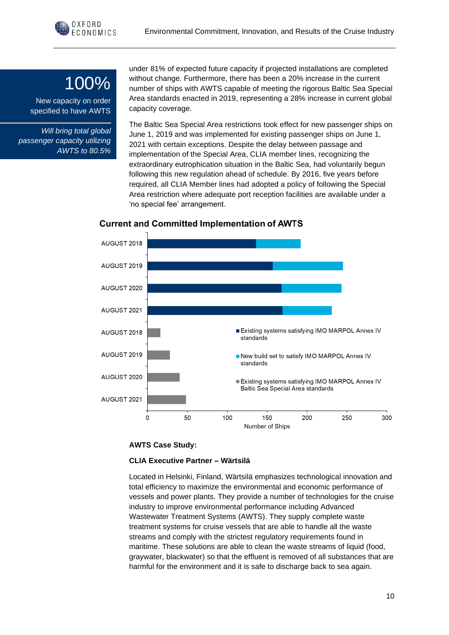## 100%

New capacity on order specified to have AWTS

*Will bring total global passenger capacity utilizing AWTS to 80.5%*

under 81% of expected future capacity if projected installations are completed without change. Furthermore, there has been a 20% increase in the current number of ships with AWTS capable of meeting the rigorous Baltic Sea Special Area standards enacted in 2019, representing a 28% increase in current global capacity coverage.

The Baltic Sea Special Area restrictions took effect for new passenger ships on June 1, 2019 and was implemented for existing passenger ships on June 1, 2021 with certain exceptions. Despite the delay between passage and implementation of the Special Area, CLIA member lines, recognizing the extraordinary eutrophication situation in the Baltic Sea, had voluntarily begun following this new regulation ahead of schedule. By 2016, five years before required, all CLIA Member lines had adopted a policy of following the Special Area restriction where adequate port reception facilities are available under a 'no special fee' arrangement.



#### **Current and Committed Implementation of AWTS**

#### **AWTS Case Study:**

#### **CLIA Executive Partner – Wärtsilä**

Located in Helsinki, Finland, Wärtsilä emphasizes technological innovation and total efficiency to maximize the environmental and economic performance of vessels and power plants. They provide a number of technologies for the cruise industry to improve environmental performance including Advanced Wastewater Treatment Systems (AWTS). They supply complete waste treatment systems for cruise vessels that are able to handle all the waste streams and comply with the strictest regulatory requirements found in maritime. These solutions are able to clean the waste streams of liquid (food, graywater, blackwater) so that the effluent is removed of all substances that are harmful for the environment and it is safe to discharge back to sea again.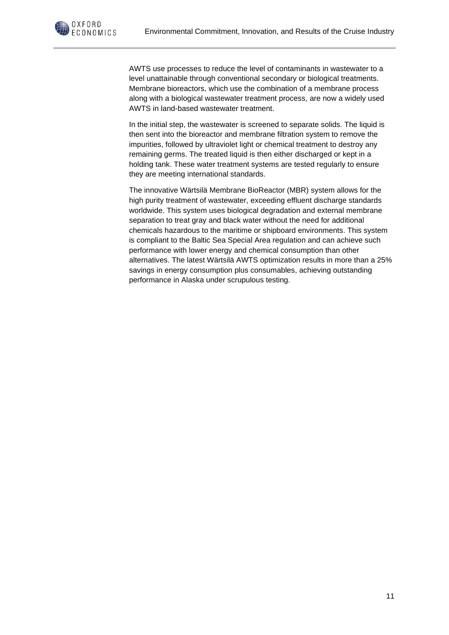

AWTS use processes to reduce the level of contaminants in wastewater to a level unattainable through conventional secondary or biological treatments. Membrane bioreactors, which use the combination of a membrane process along with a biological wastewater treatment process, are now a widely used AWTS in land-based wastewater treatment.

In the initial step, the wastewater is screened to separate solids. The liquid is then sent into the bioreactor and membrane filtration system to remove the impurities, followed by ultraviolet light or chemical treatment to destroy any remaining germs. The treated liquid is then either discharged or kept in a holding tank. These water treatment systems are tested regularly to ensure they are meeting international standards.

The innovative Wärtsilä Membrane BioReactor (MBR) system allows for the high purity treatment of wastewater, exceeding effluent discharge standards worldwide. This system uses biological degradation and external membrane separation to treat gray and black water without the need for additional chemicals hazardous to the maritime or shipboard environments. This system is compliant to the Baltic Sea Special Area regulation and can achieve such performance with lower energy and chemical consumption than other alternatives. The latest Wärtsilä AWTS optimization results in more than a 25% savings in energy consumption plus consumables, achieving outstanding performance in Alaska under scrupulous testing.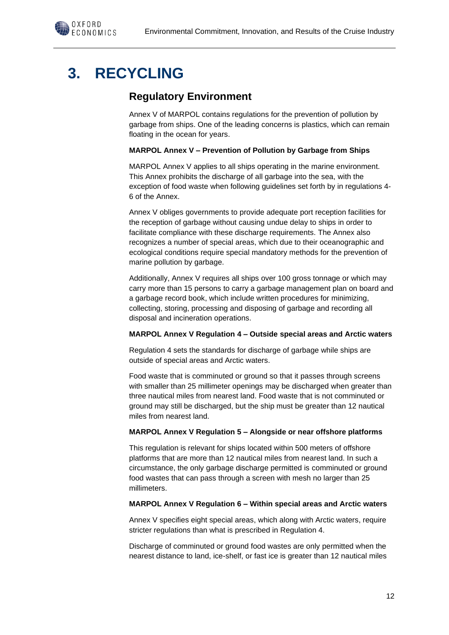

### **3. RECYCLING**

### **Regulatory Environment**

Annex V of MARPOL contains regulations for the prevention of pollution by garbage from ships. One of the leading concerns is plastics, which can remain floating in the ocean for years.

#### **MARPOL Annex V – Prevention of Pollution by Garbage from Ships**

MARPOL Annex V applies to all ships operating in the marine environment. This Annex prohibits the discharge of all garbage into the sea, with the exception of food waste when following guidelines set forth by in regulations 4- 6 of the Annex.

Annex V obliges governments to provide adequate port reception facilities for the reception of garbage without causing undue delay to ships in order to facilitate compliance with these discharge requirements. The Annex also recognizes a number of special areas, which due to their oceanographic and ecological conditions require special mandatory methods for the prevention of marine pollution by garbage.

Additionally, Annex V requires all ships over 100 gross tonnage or which may carry more than 15 persons to carry a garbage management plan on board and a garbage record book, which include written procedures for minimizing, collecting, storing, processing and disposing of garbage and recording all disposal and incineration operations.

#### **MARPOL Annex V Regulation 4 – Outside special areas and Arctic waters**

Regulation 4 sets the standards for discharge of garbage while ships are outside of special areas and Arctic waters.

Food waste that is comminuted or ground so that it passes through screens with smaller than 25 millimeter openings may be discharged when greater than three nautical miles from nearest land. Food waste that is not comminuted or ground may still be discharged, but the ship must be greater than 12 nautical miles from nearest land.

#### **MARPOL Annex V Regulation 5 – Alongside or near offshore platforms**

This regulation is relevant for ships located within 500 meters of offshore platforms that are more than 12 nautical miles from nearest land. In such a circumstance, the only garbage discharge permitted is comminuted or ground food wastes that can pass through a screen with mesh no larger than 25 millimeters.

#### **MARPOL Annex V Regulation 6 – Within special areas and Arctic waters**

Annex V specifies eight special areas, which along with Arctic waters, require stricter regulations than what is prescribed in Regulation 4.

Discharge of comminuted or ground food wastes are only permitted when the nearest distance to land, ice-shelf, or fast ice is greater than 12 nautical miles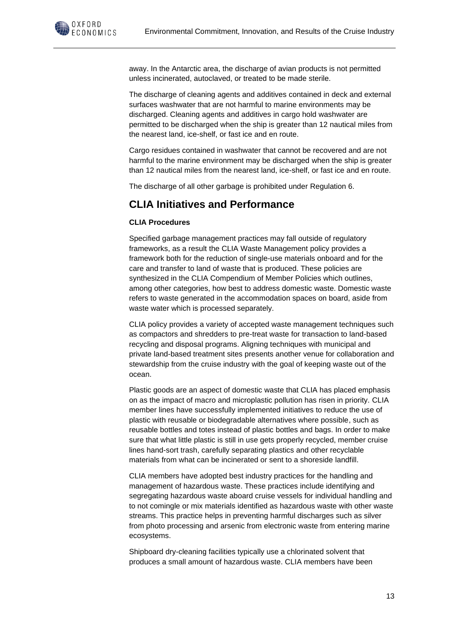

away. In the Antarctic area, the discharge of avian products is not permitted unless incinerated, autoclaved, or treated to be made sterile.

The discharge of cleaning agents and additives contained in deck and external surfaces washwater that are not harmful to marine environments may be discharged. Cleaning agents and additives in cargo hold washwater are permitted to be discharged when the ship is greater than 12 nautical miles from the nearest land, ice-shelf, or fast ice and en route.

Cargo residues contained in washwater that cannot be recovered and are not harmful to the marine environment may be discharged when the ship is greater than 12 nautical miles from the nearest land, ice-shelf, or fast ice and en route.

The discharge of all other garbage is prohibited under Regulation 6.

### **CLIA Initiatives and Performance**

#### **CLIA Procedures**

Specified garbage management practices may fall outside of regulatory frameworks, as a result the CLIA Waste Management policy provides a framework both for the reduction of single-use materials onboard and for the care and transfer to land of waste that is produced. These policies are synthesized in the CLIA Compendium of Member Policies which outlines, among other categories, how best to address domestic waste. Domestic waste refers to waste generated in the accommodation spaces on board, aside from waste water which is processed separately.

CLIA policy provides a variety of accepted waste management techniques such as compactors and shredders to pre-treat waste for transaction to land-based recycling and disposal programs. Aligning techniques with municipal and private land-based treatment sites presents another venue for collaboration and stewardship from the cruise industry with the goal of keeping waste out of the ocean.

Plastic goods are an aspect of domestic waste that CLIA has placed emphasis on as the impact of macro and microplastic pollution has risen in priority. CLIA member lines have successfully implemented initiatives to reduce the use of plastic with reusable or biodegradable alternatives where possible, such as reusable bottles and totes instead of plastic bottles and bags. In order to make sure that what little plastic is still in use gets properly recycled, member cruise lines hand-sort trash, carefully separating plastics and other recyclable materials from what can be incinerated or sent to a shoreside landfill.

CLIA members have adopted best industry practices for the handling and management of hazardous waste. These practices include identifying and segregating hazardous waste aboard cruise vessels for individual handling and to not comingle or mix materials identified as hazardous waste with other waste streams. This practice helps in preventing harmful discharges such as silver from photo processing and arsenic from electronic waste from entering marine ecosystems.

Shipboard dry-cleaning facilities typically use a chlorinated solvent that produces a small amount of hazardous waste. CLIA members have been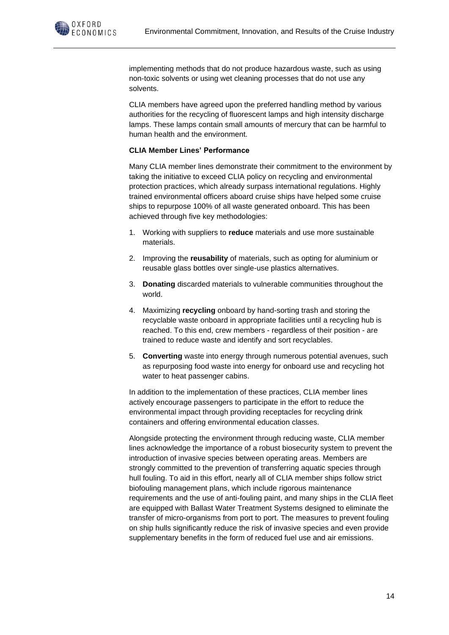

implementing methods that do not produce hazardous waste, such as using non-toxic solvents or using wet cleaning processes that do not use any solvents.

CLIA members have agreed upon the preferred handling method by various authorities for the recycling of fluorescent lamps and high intensity discharge lamps. These lamps contain small amounts of mercury that can be harmful to human health and the environment.

#### **CLIA Member Lines' Performance**

Many CLIA member lines demonstrate their commitment to the environment by taking the initiative to exceed CLIA policy on recycling and environmental protection practices, which already surpass international regulations. Highly trained environmental officers aboard cruise ships have helped some cruise ships to repurpose 100% of all waste generated onboard. This has been achieved through five key methodologies:

- 1. Working with suppliers to **reduce** materials and use more sustainable materials.
- 2. Improving the **reusability** of materials, such as opting for aluminium or reusable glass bottles over single-use plastics alternatives.
- 3. **Donating** discarded materials to vulnerable communities throughout the world.
- 4. Maximizing **recycling** onboard by hand-sorting trash and storing the recyclable waste onboard in appropriate facilities until a recycling hub is reached. To this end, crew members - regardless of their position - are trained to reduce waste and identify and sort recyclables.
- 5. **Converting** waste into energy through numerous potential avenues, such as repurposing food waste into energy for onboard use and recycling hot water to heat passenger cabins.

In addition to the implementation of these practices, CLIA member lines actively encourage passengers to participate in the effort to reduce the environmental impact through providing receptacles for recycling drink containers and offering environmental education classes.

Alongside protecting the environment through reducing waste, CLIA member lines acknowledge the importance of a robust biosecurity system to prevent the introduction of invasive species between operating areas. Members are strongly committed to the prevention of transferring aquatic species through hull fouling. To aid in this effort, nearly all of CLIA member ships follow strict biofouling management plans, which include rigorous maintenance requirements and the use of anti-fouling paint, and many ships in the CLIA fleet are equipped with Ballast Water Treatment Systems designed to eliminate the transfer of micro-organisms from port to port. The measures to prevent fouling on ship hulls significantly reduce the risk of invasive species and even provide supplementary benefits in the form of reduced fuel use and air emissions.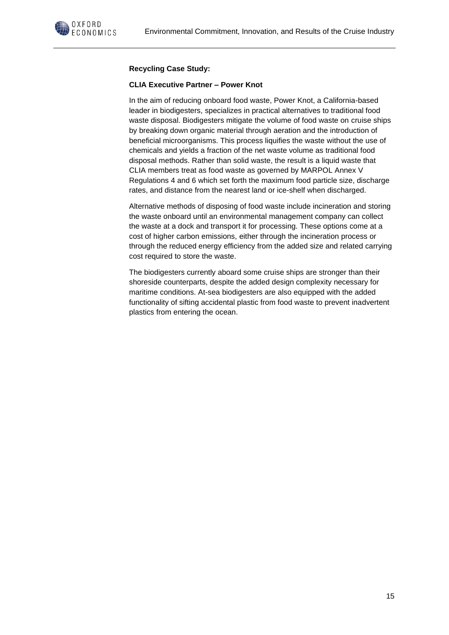

#### **Recycling Case Study:**

#### **CLIA Executive Partner – Power Knot**

In the aim of reducing onboard food waste, Power Knot, a California-based leader in biodigesters, specializes in practical alternatives to traditional food waste disposal. Biodigesters mitigate the volume of food waste on cruise ships by breaking down organic material through aeration and the introduction of beneficial microorganisms. This process liquifies the waste without the use of chemicals and yields a fraction of the net waste volume as traditional food disposal methods. Rather than solid waste, the result is a liquid waste that CLIA members treat as food waste as governed by MARPOL Annex V Regulations 4 and 6 which set forth the maximum food particle size, discharge rates, and distance from the nearest land or ice-shelf when discharged.

Alternative methods of disposing of food waste include incineration and storing the waste onboard until an environmental management company can collect the waste at a dock and transport it for processing. These options come at a cost of higher carbon emissions, either through the incineration process or through the reduced energy efficiency from the added size and related carrying cost required to store the waste.

The biodigesters currently aboard some cruise ships are stronger than their shoreside counterparts, despite the added design complexity necessary for maritime conditions. At-sea biodigesters are also equipped with the added functionality of sifting accidental plastic from food waste to prevent inadvertent plastics from entering the ocean.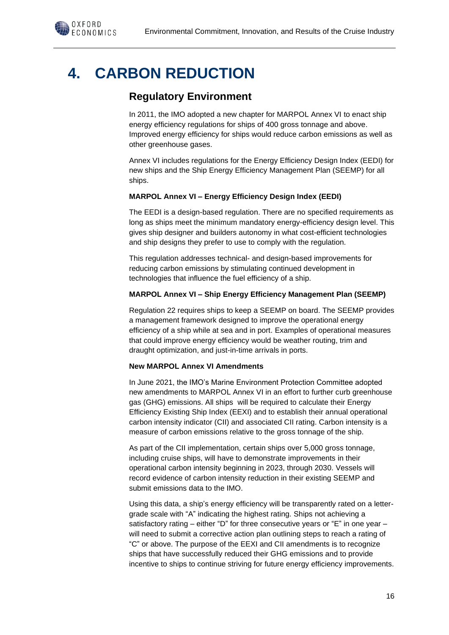## **4. CARBON REDUCTION**

### **Regulatory Environment**

In 2011, the IMO adopted a new chapter for MARPOL Annex VI to enact ship energy efficiency regulations for ships of 400 gross tonnage and above. Improved energy efficiency for ships would reduce carbon emissions as well as other greenhouse gases.

Annex VI includes regulations for the Energy Efficiency Design Index (EEDI) for new ships and the Ship Energy Efficiency Management Plan (SEEMP) for all ships.

#### **MARPOL Annex VI – Energy Efficiency Design Index (EEDI)**

The EEDI is a design-based regulation. There are no specified requirements as long as ships meet the minimum mandatory energy-efficiency design level. This gives ship designer and builders autonomy in what cost-efficient technologies and ship designs they prefer to use to comply with the regulation.

This regulation addresses technical- and design-based improvements for reducing carbon emissions by stimulating continued development in technologies that influence the fuel efficiency of a ship.

#### **MARPOL Annex VI – Ship Energy Efficiency Management Plan (SEEMP)**

Regulation 22 requires ships to keep a SEEMP on board. The SEEMP provides a management framework designed to improve the operational energy efficiency of a ship while at sea and in port. Examples of operational measures that could improve energy efficiency would be weather routing, trim and draught optimization, and just-in-time arrivals in ports.

#### **New MARPOL Annex VI Amendments**

In June 2021, the IMO's Marine Environment Protection Committee adopted new amendments to MARPOL Annex VI in an effort to further curb greenhouse gas (GHG) emissions. All ships will be required to calculate their Energy Efficiency Existing Ship Index (EEXI) and to establish their annual operational carbon intensity indicator (CII) and associated CII rating. Carbon intensity is a measure of carbon emissions relative to the gross tonnage of the ship.

As part of the CII implementation, certain ships over 5,000 gross tonnage, including cruise ships, will have to demonstrate improvements in their operational carbon intensity beginning in 2023, through 2030. Vessels will record evidence of carbon intensity reduction in their existing SEEMP and submit emissions data to the IMO.

Using this data, a ship's energy efficiency will be transparently rated on a lettergrade scale with "A" indicating the highest rating. Ships not achieving a satisfactory rating – either "D" for three consecutive years or "E" in one year – will need to submit a corrective action plan outlining steps to reach a rating of "C" or above. The purpose of the EEXI and CII amendments is to recognize ships that have successfully reduced their GHG emissions and to provide incentive to ships to continue striving for future energy efficiency improvements.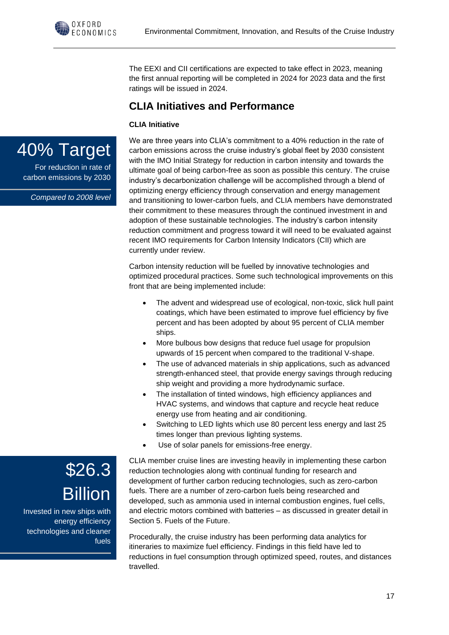The EEXI and CII certifications are expected to take effect in 2023, meaning the first annual reporting will be completed in 2024 for 2023 data and the first ratings will be issued in 2024.

### **CLIA Initiatives and Performance**

#### **CLIA Initiative**



For reduction in rate of carbon emissions by 2030

*Compared to 2008 level*

We are three years into CLIA's commitment to a 40% reduction in the rate of carbon emissions across the cruise industry's global fleet by 2030 consistent with the IMO Initial Strategy for reduction in carbon intensity and towards the ultimate goal of being carbon-free as soon as possible this century. The cruise industry's decarbonization challenge will be accomplished through a blend of optimizing energy efficiency through conservation and energy management and transitioning to lower-carbon fuels, and CLIA members have demonstrated their commitment to these measures through the continued investment in and adoption of these sustainable technologies. The industry's carbon intensity reduction commitment and progress toward it will need to be evaluated against recent IMO requirements for Carbon Intensity Indicators (CII) which are currently under review.

Carbon intensity reduction will be fuelled by innovative technologies and optimized procedural practices. Some such technological improvements on this front that are being implemented include:

- The advent and widespread use of ecological, non-toxic, slick hull paint coatings, which have been estimated to improve fuel efficiency by five percent and has been adopted by about 95 percent of CLIA member ships.
- More bulbous bow designs that reduce fuel usage for propulsion upwards of 15 percent when compared to the traditional V-shape.
- The use of advanced materials in ship applications, such as advanced strength-enhanced steel, that provide energy savings through reducing ship weight and providing a more hydrodynamic surface.
- The installation of tinted windows, high efficiency appliances and HVAC systems, and windows that capture and recycle heat reduce energy use from heating and air conditioning.
- Switching to LED lights which use 80 percent less energy and last 25 times longer than previous lighting systems.
- Use of solar panels for emissions-free energy.

CLIA member cruise lines are investing heavily in implementing these carbon reduction technologies along with continual funding for research and development of further carbon reducing technologies, such as zero-carbon fuels. There are a number of zero-carbon fuels being researched and developed, such as ammonia used in internal combustion engines, fuel cells, and electric motors combined with batteries – as discussed in greater detail in Section 5. Fuels of the Future.

Procedurally, the cruise industry has been performing data analytics for itineraries to maximize fuel efficiency. Findings in this field have led to reductions in fuel consumption through optimized speed, routes, and distances travelled.

\$26.3 Billion Invested in new ships with

energy efficiency technologies and cleaner fuels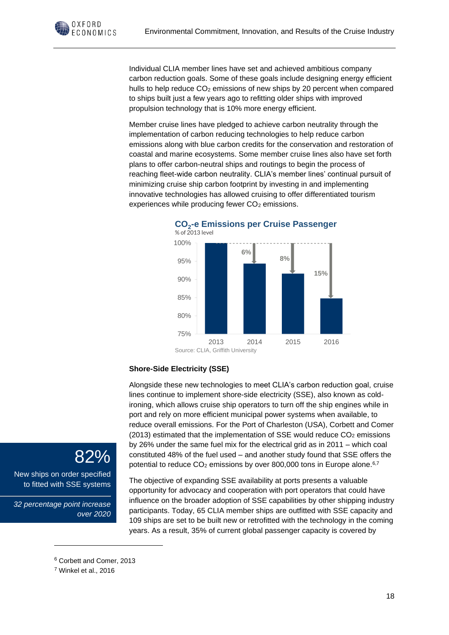Individual CLIA member lines have set and achieved ambitious company carbon reduction goals. Some of these goals include designing energy efficient hulls to help reduce  $CO<sub>2</sub>$  emissions of new ships by 20 percent when compared to ships built just a few years ago to refitting older ships with improved propulsion technology that is 10% more energy efficient.

Member cruise lines have pledged to achieve carbon neutrality through the implementation of carbon reducing technologies to help reduce carbon emissions along with blue carbon credits for the conservation and restoration of coastal and marine ecosystems. Some member cruise lines also have set forth plans to offer carbon-neutral ships and routings to begin the process of reaching fleet-wide carbon neutrality. CLIA's member lines' continual pursuit of minimizing cruise ship carbon footprint by investing in and implementing innovative technologies has allowed cruising to offer differentiated tourism experiences while producing fewer CO<sub>2</sub> emissions.



**CO<sup>2</sup> -e Emissions per Cruise Passenger**

#### **Shore-Side Electricity (SSE)**

Alongside these new technologies to meet CLIA's carbon reduction goal, cruise lines continue to implement shore-side electricity (SSE), also known as coldironing, which allows cruise ship operators to turn off the ship engines while in port and rely on more efficient municipal power systems when available, to reduce overall emissions. For the Port of Charleston (USA), Corbett and Comer (2013) estimated that the implementation of SSE would reduce  $CO<sub>2</sub>$  emissions by 26% under the same fuel mix for the electrical grid as in 2011 – which coal constituted 48% of the fuel used – and another study found that SSE offers the potential to reduce  $CO<sub>2</sub>$  emissions by over 800,000 tons in Europe alone.<sup>6,7</sup>

The objective of expanding SSE availability at ports presents a valuable opportunity for advocacy and cooperation with port operators that could have influence on the broader adoption of SSE capabilities by other shipping industry participants. Today, 65 CLIA member ships are outfitted with SSE capacity and 109 ships are set to be built new or retrofitted with the technology in the coming years. As a result, 35% of current global passenger capacity is covered by

### 82%

OXFORD ECONOMICS

New ships on order specified to fitted with SSE systems

*32 percentage point increase over 2020*

<sup>6</sup> Corbett and Comer, 2013

<sup>7</sup> Winkel et al., 2016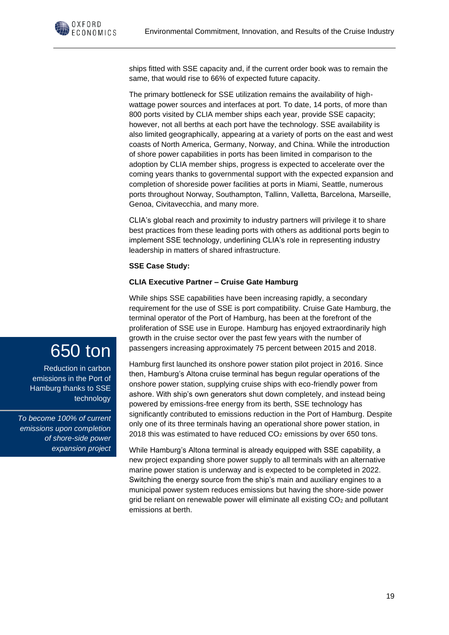

ships fitted with SSE capacity and, if the current order book was to remain the same, that would rise to 66% of expected future capacity.

The primary bottleneck for SSE utilization remains the availability of highwattage power sources and interfaces at port. To date, 14 ports, of more than 800 ports visited by CLIA member ships each year, provide SSE capacity; however, not all berths at each port have the technology. SSE availability is also limited geographically, appearing at a variety of ports on the east and west coasts of North America, Germany, Norway, and China. While the introduction of shore power capabilities in ports has been limited in comparison to the adoption by CLIA member ships, progress is expected to accelerate over the coming years thanks to governmental support with the expected expansion and completion of shoreside power facilities at ports in Miami, Seattle, numerous ports throughout Norway, Southampton, Tallinn, Valletta, Barcelona, Marseille, Genoa, Civitavecchia, and many more.

CLIA's global reach and proximity to industry partners will privilege it to share best practices from these leading ports with others as additional ports begin to implement SSE technology, underlining CLIA's role in representing industry leadership in matters of shared infrastructure.

#### **SSE Case Study:**

#### **CLIA Executive Partner – Cruise Gate Hamburg**

While ships SSE capabilities have been increasing rapidly, a secondary requirement for the use of SSE is port compatibility. Cruise Gate Hamburg, the terminal operator of the Port of Hamburg, has been at the forefront of the proliferation of SSE use in Europe. Hamburg has enjoyed extraordinarily high growth in the cruise sector over the past few years with the number of passengers increasing approximately 75 percent between 2015 and 2018.

Hamburg first launched its onshore power station pilot project in 2016. Since then, Hamburg's Altona cruise terminal has begun regular operations of the onshore power station, supplying cruise ships with eco-friendly power from ashore. With ship's own generators shut down completely, and instead being powered by emissions-free energy from its berth, SSE technology has significantly contributed to emissions reduction in the Port of Hamburg. Despite only one of its three terminals having an operational shore power station, in 2018 this was estimated to have reduced  $CO<sub>2</sub>$  emissions by over 650 tons.

While Hamburg's Altona terminal is already equipped with SSE capability, a new project expanding shore power supply to all terminals with an alternative marine power station is underway and is expected to be completed in 2022. Switching the energy source from the ship's main and auxiliary engines to a municipal power system reduces emissions but having the shore-side power grid be reliant on renewable power will eliminate all existing  $CO<sub>2</sub>$  and pollutant emissions at berth.

## 650 ton

Reduction in carbon emissions in the Port of Hamburg thanks to SSE technology

*To become 100% of current emissions upon completion of shore-side power expansion project*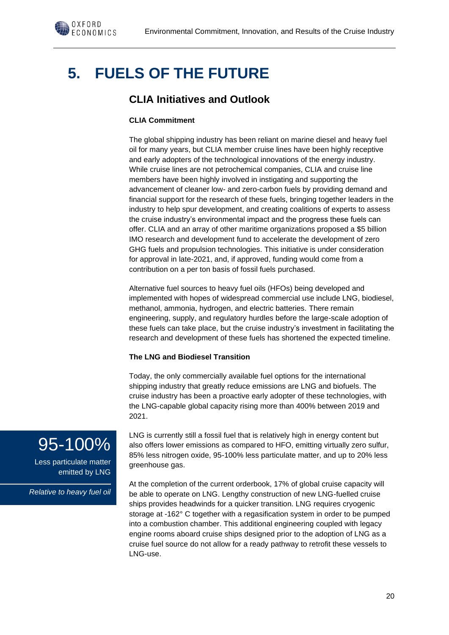

## **5. FUELS OF THE FUTURE**

### **CLIA Initiatives and Outlook**

#### **CLIA Commitment**

The global shipping industry has been reliant on marine diesel and heavy fuel oil for many years, but CLIA member cruise lines have been highly receptive and early adopters of the technological innovations of the energy industry. While cruise lines are not petrochemical companies, CLIA and cruise line members have been highly involved in instigating and supporting the advancement of cleaner low- and zero-carbon fuels by providing demand and financial support for the research of these fuels, bringing together leaders in the industry to help spur development, and creating coalitions of experts to assess the cruise industry's environmental impact and the progress these fuels can offer. CLIA and an array of other maritime organizations proposed a \$5 billion IMO research and development fund to accelerate the development of zero GHG fuels and propulsion technologies. This initiative is under consideration for approval in late-2021, and, if approved, funding would come from a contribution on a per ton basis of fossil fuels purchased.

Alternative fuel sources to heavy fuel oils (HFOs) being developed and implemented with hopes of widespread commercial use include LNG, biodiesel, methanol, ammonia, hydrogen, and electric batteries. There remain engineering, supply, and regulatory hurdles before the large-scale adoption of these fuels can take place, but the cruise industry's investment in facilitating the research and development of these fuels has shortened the expected timeline.

#### **The LNG and Biodiesel Transition**

Today, the only commercially available fuel options for the international shipping industry that greatly reduce emissions are LNG and biofuels. The cruise industry has been a proactive early adopter of these technologies, with the LNG-capable global capacity rising more than 400% between 2019 and 2021.

LNG is currently still a fossil fuel that is relatively high in energy content but also offers lower emissions as compared to HFO, emitting virtually zero sulfur, 85% less nitrogen oxide, 95-100% less particulate matter, and up to 20% less greenhouse gas.

At the completion of the current orderbook, 17% of global cruise capacity will be able to operate on LNG. Lengthy construction of new LNG-fuelled cruise ships provides headwinds for a quicker transition. LNG requires cryogenic storage at -162° C together with a regasification system in order to be pumped into a combustion chamber. This additional engineering coupled with legacy engine rooms aboard cruise ships designed prior to the adoption of LNG as a cruise fuel source do not allow for a ready pathway to retrofit these vessels to LNG-use.

## 95-100%

Less particulate matter emitted by LNG

*Relative to heavy fuel oil*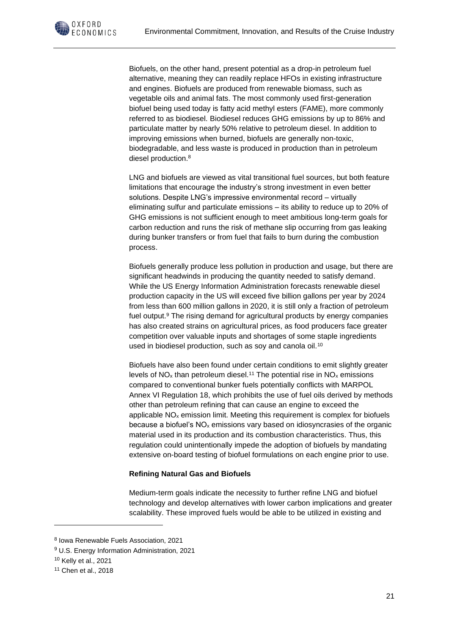

Biofuels, on the other hand, present potential as a drop-in petroleum fuel alternative, meaning they can readily replace HFOs in existing infrastructure and engines. Biofuels are produced from renewable biomass, such as vegetable oils and animal fats. The most commonly used first-generation biofuel being used today is fatty acid methyl esters (FAME), more commonly referred to as biodiesel. Biodiesel reduces GHG emissions by up to 86% and particulate matter by nearly 50% relative to petroleum diesel. In addition to improving emissions when burned, biofuels are generally non-toxic, biodegradable, and less waste is produced in production than in petroleum diesel production.<sup>8</sup>

LNG and biofuels are viewed as vital transitional fuel sources, but both feature limitations that encourage the industry's strong investment in even better solutions. Despite LNG's impressive environmental record – virtually eliminating sulfur and particulate emissions – its ability to reduce up to 20% of GHG emissions is not sufficient enough to meet ambitious long-term goals for carbon reduction and runs the risk of methane slip occurring from gas leaking during bunker transfers or from fuel that fails to burn during the combustion process.

Biofuels generally produce less pollution in production and usage, but there are significant headwinds in producing the quantity needed to satisfy demand. While the US Energy Information Administration forecasts renewable diesel production capacity in the US will exceed five billion gallons per year by 2024 from less than 600 million gallons in 2020, it is still only a fraction of petroleum fuel output.<sup>9</sup> The rising demand for agricultural products by energy companies has also created strains on agricultural prices, as food producers face greater competition over valuable inputs and shortages of some staple ingredients used in biodiesel production, such as soy and canola oil.<sup>10</sup>

Biofuels have also been found under certain conditions to emit slightly greater levels of  $NO<sub>x</sub>$  than petroleum diesel.<sup>11</sup> The potential rise in  $NO<sub>x</sub>$  emissions compared to conventional bunker fuels potentially conflicts with MARPOL Annex VI Regulation 18, which prohibits the use of fuel oils derived by methods other than petroleum refining that can cause an engine to exceed the applicable NO<sup>x</sup> emission limit. Meeting this requirement is complex for biofuels because a biofuel's  $NO<sub>x</sub>$  emissions vary based on idiosyncrasies of the organic material used in its production and its combustion characteristics. Thus, this regulation could unintentionally impede the adoption of biofuels by mandating extensive on-board testing of biofuel formulations on each engine prior to use.

#### **Refining Natural Gas and Biofuels**

Medium-term goals indicate the necessity to further refine LNG and biofuel technology and develop alternatives with lower carbon implications and greater scalability. These improved fuels would be able to be utilized in existing and

<sup>8</sup> Iowa Renewable Fuels Association, 2021

<sup>9</sup> U.S. Energy Information Administration, 2021

<sup>10</sup> Kelly et al., 2021

<sup>11</sup> Chen et al., 2018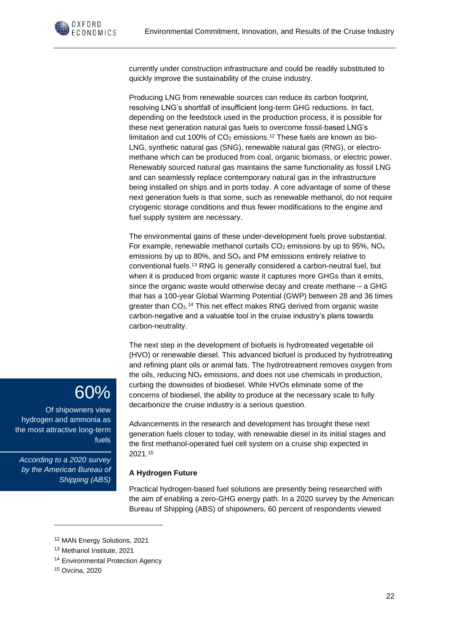

currently under construction infrastructure and could be readily substituted to quickly improve the sustainability of the cruise industry.

Producing LNG from renewable sources can reduce its carbon footprint, resolving LNG's shortfall of insufficient long-term GHG reductions. In fact, depending on the feedstock used in the production process, it is possible for these next generation natural gas fuels to overcome fossil-based LNG's limitation and cut 100% of  $CO<sub>2</sub>$  emissions.<sup>12</sup> These fuels are known as bio-LNG, synthetic natural gas (SNG), renewable natural gas (RNG), or electromethane which can be produced from coal, organic biomass, or electric power. Renewably sourced natural gas maintains the same functionality as fossil LNG and can seamlessly replace contemporary natural gas in the infrastructure being installed on ships and in ports today. A core advantage of some of these next generation fuels is that some, such as renewable methanol, do not require cryogenic storage conditions and thus fewer modifications to the engine and fuel supply system are necessary.

The environmental gains of these under-development fuels prove substantial. For example, renewable methanol curtails  $CO<sub>2</sub>$  emissions by up to 95%, NO<sub>x</sub> emissions by up to 80%, and  $SO<sub>x</sub>$  and PM emissions entirely relative to conventional fuels.<sup>13</sup> RNG is generally considered a carbon-neutral fuel, but when it is produced from organic waste it captures more GHGs than it emits, since the organic waste would otherwise decay and create methane – a GHG that has a 100-year Global Warming Potential (GWP) between 28 and 36 times greater than CO<sub>2</sub>.<sup>14</sup> This net effect makes RNG derived from organic waste carbon-negative and a valuable tool in the cruise industry's plans towards carbon-neutrality.

The next step in the development of biofuels is hydrotreated vegetable oil (HVO) or renewable diesel. This advanced biofuel is produced by hydrotreating and refining plant oils or animal fats. The hydrotreatment removes oxygen from the oils, reducing NO<sup>x</sup> emissions, and does not use chemicals in production, curbing the downsides of biodiesel. While HVOs eliminate some of the concerns of biodiesel, the ability to produce at the necessary scale to fully decarbonize the cruise industry is a serious question.

Advancements in the research and development has brought these next generation fuels closer to today, with renewable diesel in its initial stages and the first methanol-operated fuel cell system on a cruise ship expected in 2021.<sup>15</sup>

#### **A Hydrogen Future**

Practical hydrogen-based fuel solutions are presently being researched with the aim of enabling a zero-GHG energy path. In a 2020 survey by the American Bureau of Shipping (ABS) of shipowners, 60 percent of respondents viewed

## 60%

Of shipowners view hydrogen and ammonia as the most attractive long-term fuels

*According to a 2020 survey by the American Bureau of Shipping (ABS)*

<sup>12</sup> MAN Energy Solutions, 2021

<sup>13</sup> Methanol Institute, 2021

<sup>&</sup>lt;sup>14</sup> Environmental Protection Agency

<sup>15</sup> Ovcina, 2020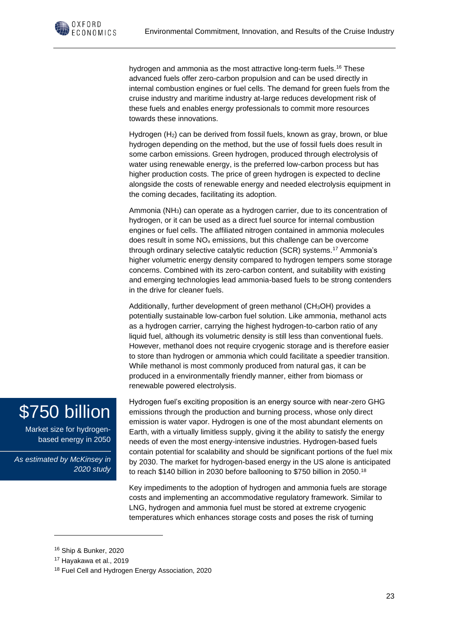

hydrogen and ammonia as the most attractive long-term fuels.<sup>16</sup> These advanced fuels offer zero-carbon propulsion and can be used directly in internal combustion engines or fuel cells. The demand for green fuels from the cruise industry and maritime industry at-large reduces development risk of these fuels and enables energy professionals to commit more resources towards these innovations.

Hydrogen (H2) can be derived from fossil fuels, known as gray, brown, or blue hydrogen depending on the method, but the use of fossil fuels does result in some carbon emissions. Green hydrogen, produced through electrolysis of water using renewable energy, is the preferred low-carbon process but has higher production costs. The price of green hydrogen is expected to decline alongside the costs of renewable energy and needed electrolysis equipment in the coming decades, facilitating its adoption.

Ammonia (NH3) can operate as a hydrogen carrier, due to its concentration of hydrogen, or it can be used as a direct fuel source for internal combustion engines or fuel cells. The affiliated nitrogen contained in ammonia molecules does result in some  $NO<sub>x</sub>$  emissions, but this challenge can be overcome through ordinary selective catalytic reduction (SCR) systems.<sup>17</sup> Ammonia's higher volumetric energy density compared to hydrogen tempers some storage concerns. Combined with its zero-carbon content, and suitability with existing and emerging technologies lead ammonia-based fuels to be strong contenders in the drive for cleaner fuels.

Additionally, further development of green methanol (CH3OH) provides a potentially sustainable low-carbon fuel solution. Like ammonia, methanol acts as a hydrogen carrier, carrying the highest hydrogen-to-carbon ratio of any liquid fuel, although its volumetric density is still less than conventional fuels. However, methanol does not require cryogenic storage and is therefore easier to store than hydrogen or ammonia which could facilitate a speedier transition. While methanol is most commonly produced from natural gas, it can be produced in a environmentally friendly manner, either from biomass or renewable powered electrolysis.

## \$750 billion

Market size for hydrogenbased energy in 2050

*As estimated by McKinsey in 2020 study*

Hydrogen fuel's exciting proposition is an energy source with near-zero GHG emissions through the production and burning process, whose only direct emission is water vapor. Hydrogen is one of the most abundant elements on Earth, with a virtually limitless supply, giving it the ability to satisfy the energy needs of even the most energy-intensive industries. Hydrogen-based fuels contain potential for scalability and should be significant portions of the fuel mix by 2030. The market for hydrogen-based energy in the US alone is anticipated to reach \$140 billion in 2030 before ballooning to \$750 billion in 2050.<sup>18</sup>

Key impediments to the adoption of hydrogen and ammonia fuels are storage costs and implementing an accommodative regulatory framework. Similar to LNG, hydrogen and ammonia fuel must be stored at extreme cryogenic temperatures which enhances storage costs and poses the risk of turning

<sup>16</sup> Ship & Bunker, 2020

<sup>17</sup> Hayakawa et al., 2019

<sup>&</sup>lt;sup>18</sup> Fuel Cell and Hydrogen Energy Association, 2020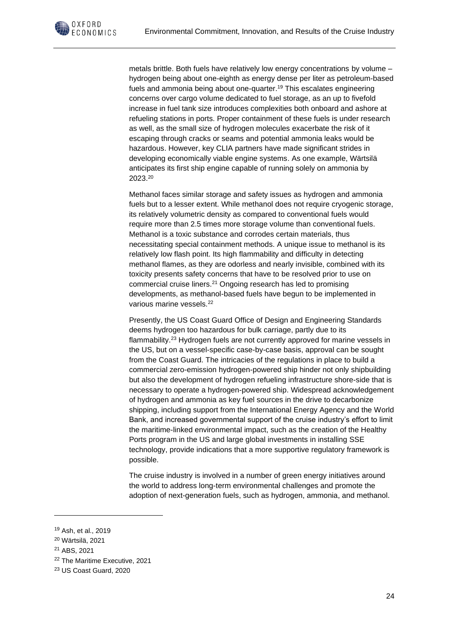

metals brittle. Both fuels have relatively low energy concentrations by volume – hydrogen being about one-eighth as energy dense per liter as petroleum-based fuels and ammonia being about one-quarter. <sup>19</sup> This escalates engineering concerns over cargo volume dedicated to fuel storage, as an up to fivefold increase in fuel tank size introduces complexities both onboard and ashore at refueling stations in ports. Proper containment of these fuels is under research as well, as the small size of hydrogen molecules exacerbate the risk of it escaping through cracks or seams and potential ammonia leaks would be hazardous. However, key CLIA partners have made significant strides in developing economically viable engine systems. As one example, Wärtsilä anticipates its first ship engine capable of running solely on ammonia by 2023.<sup>20</sup>

Methanol faces similar storage and safety issues as hydrogen and ammonia fuels but to a lesser extent. While methanol does not require cryogenic storage, its relatively volumetric density as compared to conventional fuels would require more than 2.5 times more storage volume than conventional fuels. Methanol is a toxic substance and corrodes certain materials, thus necessitating special containment methods. A unique issue to methanol is its relatively low flash point. Its high flammability and difficulty in detecting methanol flames, as they are odorless and nearly invisible, combined with its toxicity presents safety concerns that have to be resolved prior to use on commercial cruise liners.<sup>21</sup> Ongoing research has led to promising developments, as methanol-based fuels have begun to be implemented in various marine vessels.<sup>22</sup>

Presently, the US Coast Guard Office of Design and Engineering Standards deems hydrogen too hazardous for bulk carriage, partly due to its flammability.<sup>23</sup> Hydrogen fuels are not currently approved for marine vessels in the US, but on a vessel-specific case-by-case basis, approval can be sought from the Coast Guard. The intricacies of the regulations in place to build a commercial zero-emission hydrogen-powered ship hinder not only shipbuilding but also the development of hydrogen refueling infrastructure shore-side that is necessary to operate a hydrogen-powered ship. Widespread acknowledgement of hydrogen and ammonia as key fuel sources in the drive to decarbonize shipping, including support from the International Energy Agency and the World Bank, and increased governmental support of the cruise industry's effort to limit the maritime-linked environmental impact, such as the creation of the Healthy Ports program in the US and large global investments in installing SSE technology, provide indications that a more supportive regulatory framework is possible.

The cruise industry is involved in a number of green energy initiatives around the world to address long-term environmental challenges and promote the adoption of next-generation fuels, such as hydrogen, ammonia, and methanol.

<sup>19</sup> Ash, et al., 2019

<sup>20</sup> Wärtsilä, 2021

<sup>21</sup> ABS, 2021

<sup>&</sup>lt;sup>22</sup> The Maritime Executive, 2021

<sup>23</sup> US Coast Guard, 2020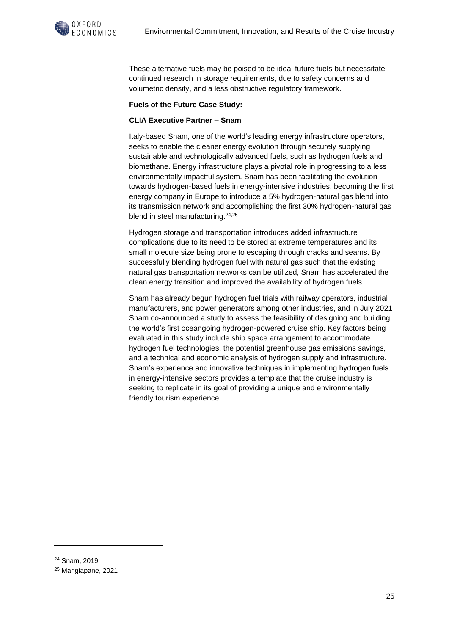

These alternative fuels may be poised to be ideal future fuels but necessitate continued research in storage requirements, due to safety concerns and volumetric density, and a less obstructive regulatory framework.

#### **Fuels of the Future Case Study:**

#### **CLIA Executive Partner – Snam**

Italy-based Snam, one of the world's leading energy infrastructure operators, seeks to enable the cleaner energy evolution through securely supplying sustainable and technologically advanced fuels, such as hydrogen fuels and biomethane. Energy infrastructure plays a pivotal role in progressing to a less environmentally impactful system. Snam has been facilitating the evolution towards hydrogen-based fuels in energy-intensive industries, becoming the first energy company in Europe to introduce a 5% hydrogen-natural gas blend into its transmission network and accomplishing the first 30% hydrogen-natural gas blend in steel manufacturing.<sup>24,25</sup>

Hydrogen storage and transportation introduces added infrastructure complications due to its need to be stored at extreme temperatures and its small molecule size being prone to escaping through cracks and seams. By successfully blending hydrogen fuel with natural gas such that the existing natural gas transportation networks can be utilized, Snam has accelerated the clean energy transition and improved the availability of hydrogen fuels.

Snam has already begun hydrogen fuel trials with railway operators, industrial manufacturers, and power generators among other industries, and in July 2021 Snam co-announced a study to assess the feasibility of designing and building the world's first oceangoing hydrogen-powered cruise ship. Key factors being evaluated in this study include ship space arrangement to accommodate hydrogen fuel technologies, the potential greenhouse gas emissions savings, and a technical and economic analysis of hydrogen supply and infrastructure. Snam's experience and innovative techniques in implementing hydrogen fuels in energy-intensive sectors provides a template that the cruise industry is seeking to replicate in its goal of providing a unique and environmentally friendly tourism experience.

<sup>24</sup> Snam, 2019

<sup>25</sup> Mangiapane, 2021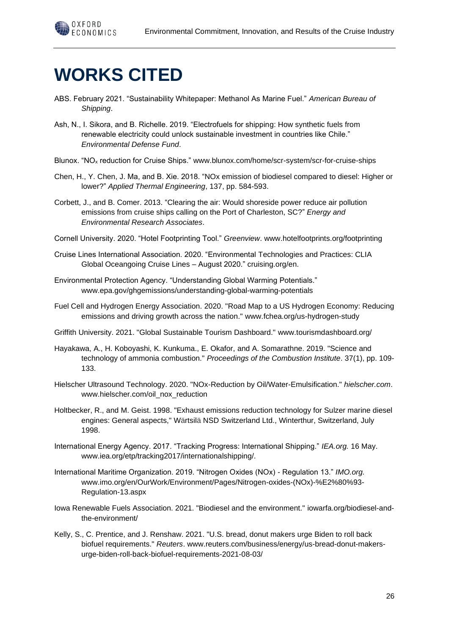

## **WORKS CITED**

- ABS. February 2021. "Sustainability Whitepaper: Methanol As Marine Fuel." *American Bureau of Shipping*.
- Ash, N., I. Sikora, and B. Richelle. 2019. "Electrofuels for shipping: How synthetic fuels from renewable electricity could unlock sustainable investment in countries like Chile." *Environmental Defense Fund*.
- Blunox. "NO<sup>x</sup> reduction for Cruise Ships." www.blunox.com/home/scr-system/scr-for-cruise-ships
- Chen, H., Y. Chen, J. Ma, and B. Xie. 2018. "NOx emission of biodiesel compared to diesel: Higher or lower?" *Applied Thermal Engineering*, 137, pp. 584-593.
- Corbett, J., and B. Comer. 2013. "Clearing the air: Would shoreside power reduce air pollution emissions from cruise ships calling on the Port of Charleston, SC?" *Energy and Environmental Research Associates*.

Cornell University. 2020. "Hotel Footprinting Tool." *Greenview*. www.hotelfootprints.org/footprinting

- Cruise Lines International Association. 2020. "Environmental Technologies and Practices: CLIA Global Oceangoing Cruise Lines – August 2020." cruising.org/en.
- Environmental Protection Agency. "Understanding Global Warming Potentials." www.epa.gov/ghgemissions/understanding-global-warming-potentials
- Fuel Cell and Hydrogen Energy Association. 2020. "Road Map to a US Hydrogen Economy: Reducing emissions and driving growth across the nation." www.fchea.org/us-hydrogen-study
- Griffith University. 2021. "Global Sustainable Tourism Dashboard." www.tourismdashboard.org/
- Hayakawa, A., H. Koboyashi, K. Kunkuma., E. Okafor, and A. Somarathne. 2019. "Science and technology of ammonia combustion." *Proceedings of the Combustion Institute*. 37(1), pp. 109- 133.
- Hielscher Ultrasound Technology. 2020. "NOx-Reduction by Oil/Water-Emulsification." *hielscher.com*. www.hielscher.com/oil\_nox\_reduction
- Holtbecker, R., and M. Geist. 1998. "Exhaust emissions reduction technology for Sulzer marine diesel engines: General aspects," Wärtsilä NSD Switzerland Ltd., Winterthur, Switzerland, July 1998.
- International Energy Agency. 2017. "Tracking Progress: International Shipping." *IEA.org.* 16 May. www.iea.org/etp/tracking2017/internationalshipping/.
- International Maritime Organization. 2019. "Nitrogen Oxides (NOx) Regulation 13." *IMO.org.* www.imo.org/en/OurWork/Environment/Pages/Nitrogen-oxides-(NOx)-%E2%80%93- Regulation-13.aspx
- Iowa Renewable Fuels Association. 2021. "Biodiesel and the environment." iowarfa.org/biodiesel-andthe-environment/
- Kelly, S., C. Prentice, and J. Renshaw. 2021. "U.S. bread, donut makers urge Biden to roll back biofuel requirements." *Reuters*. www.reuters.com/business/energy/us-bread-donut-makersurge-biden-roll-back-biofuel-requirements-2021-08-03/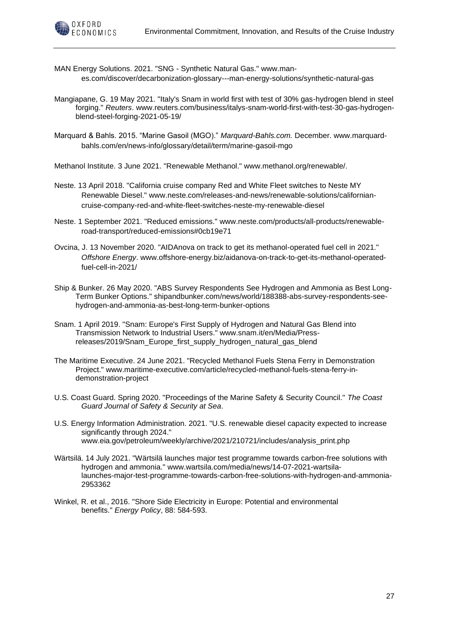

MAN Energy Solutions. 2021. "SNG - Synthetic Natural Gas." www.manes.com/discover/decarbonization-glossary---man-energy-solutions/synthetic-natural-gas

- Mangiapane, G. 19 May 2021. "Italy's Snam in world first with test of 30% gas-hydrogen blend in steel forging." *Reuters*. www.reuters.com/business/italys-snam-world-first-with-test-30-gas-hydrogenblend-steel-forging-2021-05-19/
- Marquard & Bahls. 2015. "Marine Gasoil (MGO)." *Marquard-Bahls.com.* December. www.marquardbahls.com/en/news-info/glossary/detail/term/marine-gasoil-mgo

Methanol Institute. 3 June 2021. "Renewable Methanol." www.methanol.org/renewable/.

- Neste. 13 April 2018. "California cruise company Red and White Fleet switches to Neste MY Renewable Diesel." www.neste.com/releases-and-news/renewable-solutions/californiancruise-company-red-and-white-fleet-switches-neste-my-renewable-diesel
- Neste. 1 September 2021. "Reduced emissions." www.neste.com/products/all-products/renewableroad-transport/reduced-emissions#0cb19e71
- Ovcina, J. 13 November 2020. "AIDAnova on track to get its methanol-operated fuel cell in 2021." *Offshore Energy*. www.offshore-energy.biz/aidanova-on-track-to-get-its-methanol-operatedfuel-cell-in-2021/
- Ship & Bunker. 26 May 2020. "ABS Survey Respondents See Hydrogen and Ammonia as Best Long-Term Bunker Options." shipandbunker.com/news/world/188388-abs-survey-respondents-seehydrogen-and-ammonia-as-best-long-term-bunker-options
- Snam. 1 April 2019. "Snam: Europe's First Supply of Hydrogen and Natural Gas Blend into Transmission Network to Industrial Users." www.snam.it/en/Media/Pressreleases/2019/Snam\_Europe\_first\_supply\_hydrogen\_natural\_gas\_blend
- The Maritime Executive. 24 June 2021. "Recycled Methanol Fuels Stena Ferry in Demonstration Project." www.maritime-executive.com/article/recycled-methanol-fuels-stena-ferry-indemonstration-project
- U.S. Coast Guard. Spring 2020. "Proceedings of the Marine Safety & Security Council." *The Coast Guard Journal of Safety & Security at Sea*.
- U.S. Energy Information Administration. 2021. "U.S. renewable diesel capacity expected to increase significantly through 2024." www.eia.gov/petroleum/weekly/archive/2021/210721/includes/analysis\_print.php
- Wärtsilä. 14 July 2021. "Wärtsilä launches major test programme towards carbon-free solutions with hydrogen and ammonia." www.wartsila.com/media/news/14-07-2021-wartsilalaunches-major-test-programme-towards-carbon-free-solutions-with-hydrogen-and-ammonia-2953362
- Winkel, R. et al., 2016. "Shore Side Electricity in Europe: Potential and environmental benefits." *Energy Policy*, 88: 584-593.